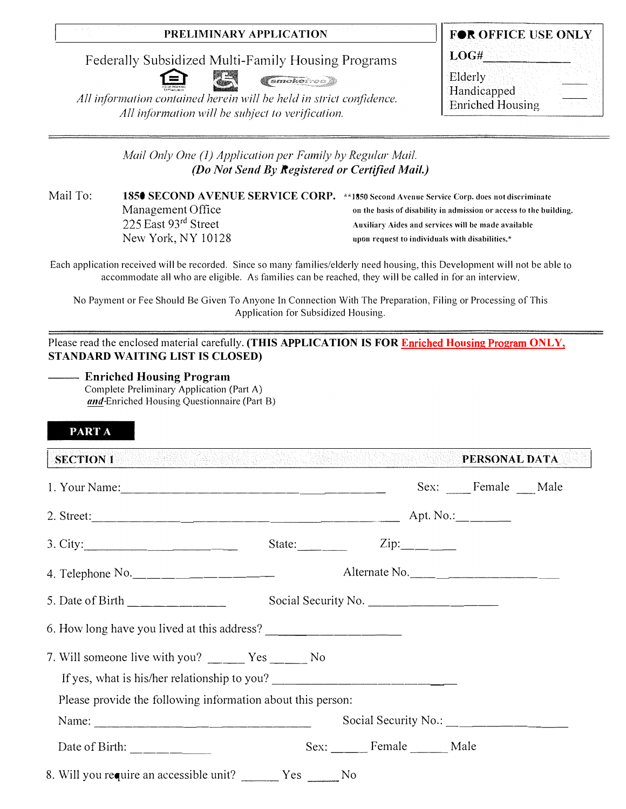Federally Subsidized Multi-Family Housing Programs



All information contained herein will be held in strict confidence. All information will be subject to verification.

| FOR OFFICE USE ONLY     |  |
|-------------------------|--|
| LOG#                    |  |
| Elderly                 |  |
| Handicapped             |  |
| <b>Enriched Housing</b> |  |

Mail Only One (1) Application per Family by Regular Mail. (Do Not Send By Registered or Certified Mail.)

Mail To: 1850 SECOND AVENUE SERVICE CORP. \*\* 1850 Second Avenue Service Corp. does not diseriminate Management Office on the basis of disability in admission or access to the building. 225 East 93rd Street Auxiliary Aides and services will be made available New York, NY 10128 upon request to individuals with disabilities.\*

Each application received will be recorded. Since so many families/elderly need housing, this Development will not be able to accommodate all who are eligible. As families can be reached, they will be called in for an interview.

No Payment or Fee Should Be Given To Anyone In Connection With The Preparation, Filing or Processing of This Application for Subsidized Housing.

Please read the enclosed material carefully. (THIS APPLICATION IS FOR Enriched Housing Program ONLY, STANDARD WAITING LIST IS CLOSED)

# - Enriched Housing Program

Complete Preliminary Application (Part A) and Enriched Housing Questionnaire (Part B)

# PART A

**SECTION 1** PERSONAL DATA

|                                                                                         |                                                  | Sex: Female Male |  |
|-----------------------------------------------------------------------------------------|--------------------------------------------------|------------------|--|
|                                                                                         |                                                  |                  |  |
| 3. City:                                                                                | State: $\qquad \qquad \text{Zip:} \qquad \qquad$ |                  |  |
| 4. Telephone No.                                                                        | Alternate No.                                    |                  |  |
| 5. Date of Birth $\frac{1}{\sqrt{1-\frac{1}{2}}}\left\lfloor \frac{1}{2} \right\rfloor$ |                                                  |                  |  |
|                                                                                         |                                                  |                  |  |
| If yes, what is his/her relationship to you?                                            |                                                  |                  |  |
| Please provide the following information about this person:                             |                                                  |                  |  |
| Name: $\frac{1}{2}$                                                                     |                                                  |                  |  |
| Date of Birth: $\frac{\qquad \qquad }{\qquad \qquad }$                                  | Sex: Female Male                                 |                  |  |
| 8. Will you require an accessible unit? ______ Yes _____ No                             |                                                  |                  |  |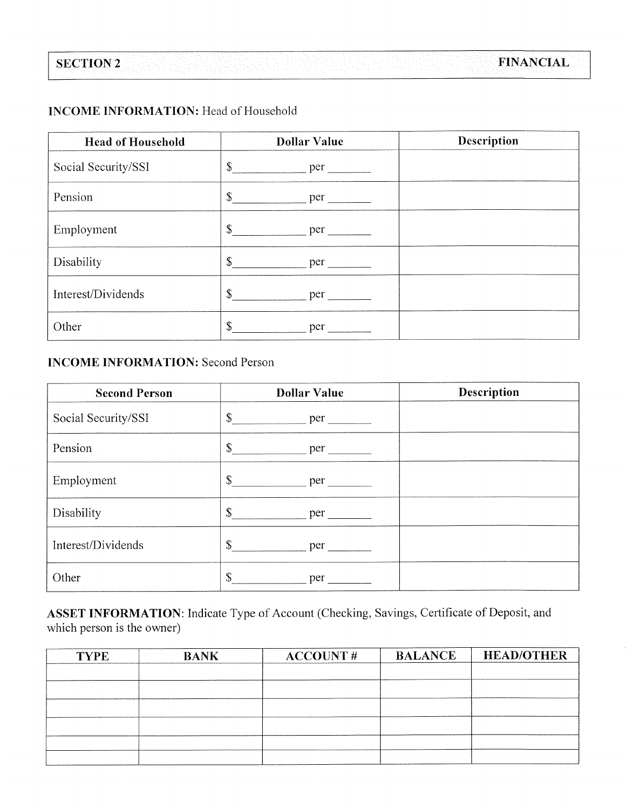# **INCOME INFORMATION: Head of Household**

| <b>Head of Household</b> | <b>Dollar Value</b>                                                                                                                                                                                                                 | Description |
|--------------------------|-------------------------------------------------------------------------------------------------------------------------------------------------------------------------------------------------------------------------------------|-------------|
| Social Security/SSI      | $\mathbb{S}$<br>per                                                                                                                                                                                                                 |             |
| Pension                  | $\mathbb{S}$                                                                                                                                                                                                                        |             |
| Employment               | $\mathbb{S}$<br>$per$ $\qquad \qquad$                                                                                                                                                                                               |             |
| Disability               | $\mathbb{S}$<br>per                                                                                                                                                                                                                 |             |
| Interest/Dividends       | \$<br>per the state of the state of the state of the state of the state of the state of the state of the state of the state of the state of the state of the state of the state of the state of the state of the state of the state |             |
| Other                    | \$<br>per                                                                                                                                                                                                                           |             |

# **INCOME INFORMATION: Second Person**

| <b>Second Person</b> | <b>Dollar Value</b>  | <b>Description</b> |
|----------------------|----------------------|--------------------|
| Social Security/SSI  | \$<br>per            |                    |
| Pension              | \$<br>per            |                    |
| Employment           | \$<br>per            |                    |
| Disability           | \$<br>per <u>per</u> |                    |
| Interest/Dividends   | $\mathbb{S}$<br>per  |                    |
| Other                | \$<br>per            |                    |

ASSET INFORMATION: Indicate Type of Account (Checking, Savings, Certificate of Deposit, and which person is the owner)

| <b>TYPE</b> | <b>BANK</b> | <b>ACCOUNT#</b> | <b>BALANCE</b> | <b>HEAD/OTHER</b> |
|-------------|-------------|-----------------|----------------|-------------------|
|             |             |                 |                |                   |
|             |             |                 |                |                   |
|             |             |                 |                |                   |
|             |             |                 |                |                   |
|             |             |                 |                |                   |
|             |             |                 |                |                   |
|             |             |                 |                |                   |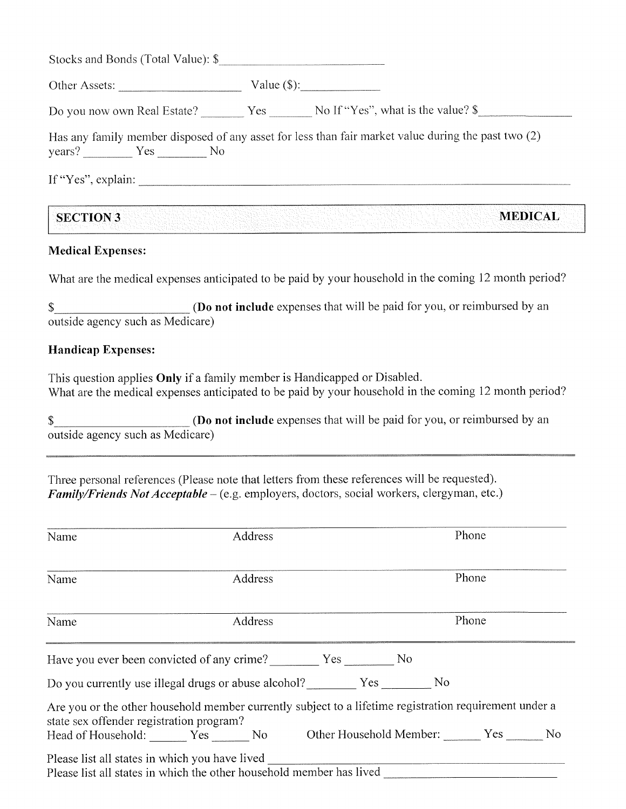| Other Assets:     | Value $(\$)$ :                                                                                      |
|-------------------|-----------------------------------------------------------------------------------------------------|
|                   | Do you now own Real Estate? Yes No If "Yes", what is the value? \$                                  |
| $years?$ $Yes$ No | Has any family member disposed of any asset for less than fair market value during the past two (2) |
|                   |                                                                                                     |

# **Medical Expenses:**

**SECTION 3** 

What are the medical expenses anticipated to be paid by your household in the coming 12 month period?

(Do not include expenses that will be paid for you, or reimbursed by an \$ outside agency such as Medicare)

# **Handicap Expenses:**

This question applies Only if a family member is Handicapped or Disabled. What are the medical expenses anticipated to be paid by your household in the coming 12 month period?

(Do not include expenses that will be paid for you, or reimbursed by an \$ outside agency such as Medicare)

Three personal references (Please note that letters from these references will be requested). Family/Friends Not Acceptable - (e.g. employers, doctors, social workers, clergyman, etc.)

| Name                                     | Address                                                                                                |  | Phone |       |  |
|------------------------------------------|--------------------------------------------------------------------------------------------------------|--|-------|-------|--|
| Name                                     | Address                                                                                                |  |       | Phone |  |
| Name                                     | Address                                                                                                |  |       | Phone |  |
|                                          | Have you ever been convicted of any crime? Yes No                                                      |  |       |       |  |
|                                          | Do you currently use illegal drugs or abuse alcohol? Yes No                                            |  |       |       |  |
| state sex offender registration program? | Are you or the other household member currently subject to a lifetime registration requirement under a |  |       |       |  |
|                                          | Head of Household: Yes No Other Household Member: Yes No                                               |  |       |       |  |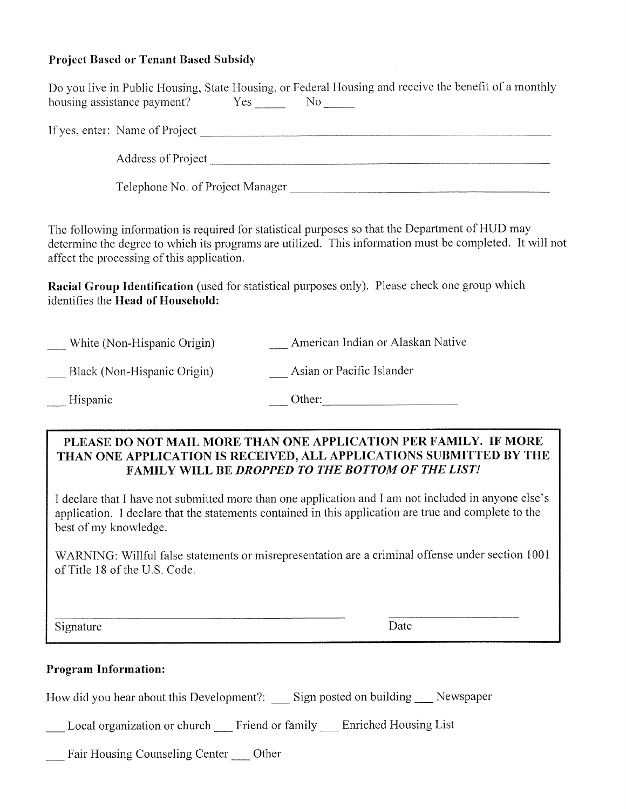# Project Based or Tenant Based Subsidy

|                                                        | Do you live in Public Housing, State Housing, or Federal Housing and receive the benefit of a monthly                                                                                                                                                                                                                                                                                                                                                                                                                    |
|--------------------------------------------------------|--------------------------------------------------------------------------------------------------------------------------------------------------------------------------------------------------------------------------------------------------------------------------------------------------------------------------------------------------------------------------------------------------------------------------------------------------------------------------------------------------------------------------|
|                                                        |                                                                                                                                                                                                                                                                                                                                                                                                                                                                                                                          |
|                                                        |                                                                                                                                                                                                                                                                                                                                                                                                                                                                                                                          |
|                                                        | Telephone No. of Project Manager                                                                                                                                                                                                                                                                                                                                                                                                                                                                                         |
| affect the processing of this application.             | The following information is required for statistical purposes so that the Department of HUD may<br>determine the degree to which its programs are utilized. This information must be completed. It will not                                                                                                                                                                                                                                                                                                             |
| identifies the Head of Household:                      | Racial Group Identification (used for statistical purposes only). Please check one group which                                                                                                                                                                                                                                                                                                                                                                                                                           |
| White (Non-Hispanic Origin)                            | American Indian or Alaskan Native                                                                                                                                                                                                                                                                                                                                                                                                                                                                                        |
| Black (Non-Hispanic Origin)                            | Asian or Pacific Islander                                                                                                                                                                                                                                                                                                                                                                                                                                                                                                |
| Hispanic                                               |                                                                                                                                                                                                                                                                                                                                                                                                                                                                                                                          |
| best of my knowledge.<br>of Title 18 of the U.S. Code. | PLEASE DO NOT MAIL MORE THAN ONE APPLICATION PER FAMILY. IF MORE<br>THAN ONE APPLICATION IS RECEIVED, ALL APPLICATIONS SUBMITTED BY THE<br><b>FAMILY WILL BE DROPPED TO THE BOTTOM OF THE LIST!</b><br>I declare that I have not submitted more than one application and I am not included in anyone else's<br>application. I declare that the statements contained in this application are true and complete to the<br>WARNING: Willful false statements or misrepresentation are a criminal offense under section 1001 |
| Signature                                              | Date                                                                                                                                                                                                                                                                                                                                                                                                                                                                                                                     |
| <b>Program Information:</b>                            | How did you hear about this Development?: ___ Sign posted on building __ Newspaper<br>_Local organization or church __ Friend or family __ Enriched Housing List                                                                                                                                                                                                                                                                                                                                                         |
|                                                        |                                                                                                                                                                                                                                                                                                                                                                                                                                                                                                                          |

 $\sim 10^7$ 

\_\_ Fair Housing Counseling Center \_\_ Other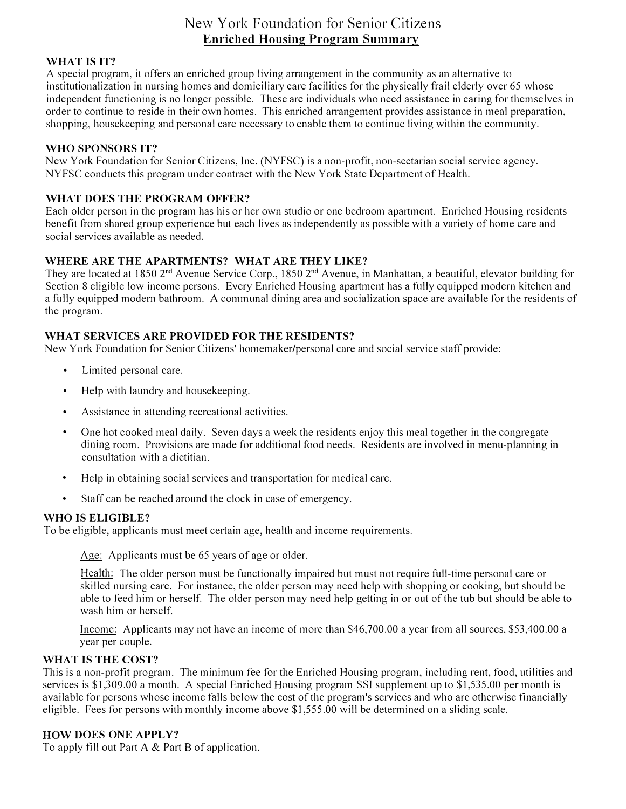# New York Foundation for Senior Citizens **Enriched Housing Program Summary**

## **WHAT IS IT?**

*A* special program, it offers an enriched group living arrangement in the community as an alternative to institutionalization in nursing homes and domiciliary care facilities for the physically frail elderly over 65 whose independent functioning is no longer possible. These arc individuals who need assistance in caring for themselves in order to continue to reside in their own homes. This enriched arrangement provides assistance in meal preparation, shopping, housekeeping and personal care necessary to enable them to continue living within the community.

### **WHO SPONSORS IT?**

New York Foundation for Senior Citizens, Inc. (NYFSC) is a non-profit, non-sectarian social service agency. NYFSC conducts this program under contract with the New York State Department of Health.

# **WHAT DOES THE PROGRAM OFFER?**

Each older person in the program has his or her own studio or one bedroom apartment. Enriched Housing residents benefit f r om shared group experience but each lives as independently as possible with a variety of home care and social services available as needed.

# **WHERE ARE THE APARTMENTS? WHAT ARE THEY LIKE?**

They are located at 1850 2<sup>nd</sup> Avenue Service Corp., 1850 2<sup>nd</sup> Avenue, in Manhattan, a beautiful, elevator building for Section 8 eligible low income persons. Every Enriched Housing apartment has a fully equipped modern kitchen and a fully equipped modern bathroom. *A* communal dining area and socialization space are available for the residents of the program.

## **WHAT SERVICES ARE PROVIDED FOR THE RESIDENTS?**

New York Foundation for Senior Citizens' homemaker/personal care and social service staff provide:

- Limited personal care.
- Help with laundry and housekeeping.
- Assistance in attending recreational activities.
- One hot cooked meal daily. Seven days a week the residents enjoy this meal together in the congregate dining room. Provisions are made for additional food needs. Residents are involved in menu-planning in consultation with a dietitian.
- Help in obtaining social services and transportation for medical care.
- Staff can be reached around the clock in case of emergency.

### **WHO IS ELIGIBLE?**

To be eligible, applicants must meet certain age, health and income requirements.

Age: Applicants must be 65 years of age or older.

Health: The older person must be functionally impaired but must not require full-time personal care or skilled nursing care. For instance, the older person may need help with shopping or cooking, but should be able to feed him or herself. The older person may need help getting in or out of the tub but should be able to wash him or herself.

Income: Applicants may not have an income of more than \$46,700.00 a year from all sources, \$53,400.00 a year per couple.

### **WHAT IS THE COST?**

This is a non-profit program. The minimum fee for the Enriched Housing program, including rent, food, utilities and services is \$1,309.00 a month. *A* special Enriched Housing program SSI supplement up to \$1,535.00 per month is available for persons whose income falls below the cost of the program's services and who are otherwise financially eligible. Fees for persons with monthly income above \$1,555.00 will be determined on a sliding scale.

### **HOW DOES ONE APPLY?**

To apply fill out Part *A* & Part B of application.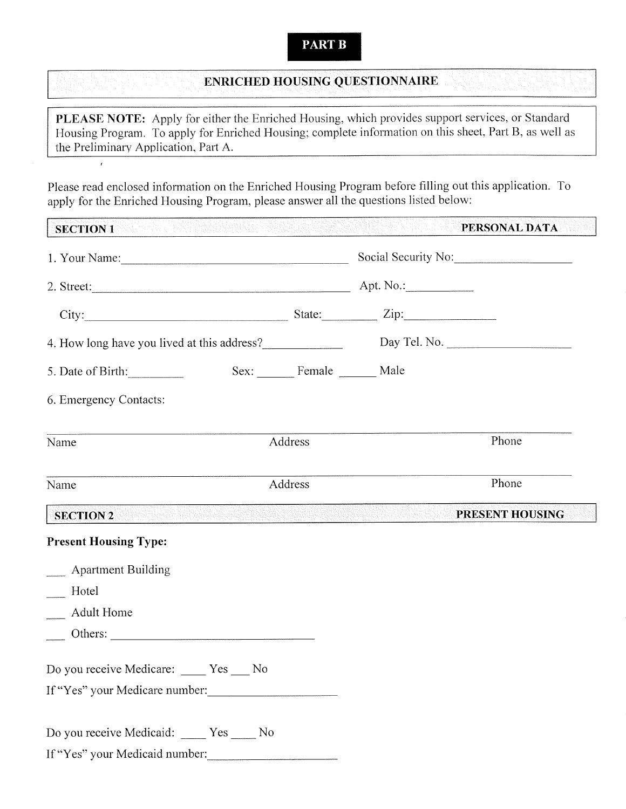# **PART B**

# **ENRICHED HOUSING QUESTIONNAIRE**

PLEASE NOTE: Apply for either the Enriched Housing, which provides support services, or Standard Housing Program. To apply for Enriched Housing; complete information on this sheet, Part B, as well as the Preliminary Application, Part A.

Please read enclosed information on the Enriched Housing Program before filling out this application. To apply for the Enriched Housing Program, please answer all the questions listed below:

 $\bar{t}$ 

| <b>SECTION 1</b>                                                              |                |                         | Geliotz<br>ang ng pagkat ng mga galang ng mga mang nagang ng manggalang ng mga pang nang nang ng pag                 | PERSONAL DATA<br>n Year |
|-------------------------------------------------------------------------------|----------------|-------------------------|----------------------------------------------------------------------------------------------------------------------|-------------------------|
|                                                                               |                | Social Security No:     |                                                                                                                      |                         |
|                                                                               |                |                         |                                                                                                                      |                         |
| City: $\qquad \qquad$ State: $\qquad \qquad$ Zip:                             |                |                         |                                                                                                                      |                         |
| 4. How long have you lived at this address?<br>Day Tel. No.                   |                |                         |                                                                                                                      |                         |
| 5. Date of Birth:                                                             |                | Sex: Female ______ Male |                                                                                                                      |                         |
| 6. Emergency Contacts:                                                        |                |                         |                                                                                                                      |                         |
| Name                                                                          |                | Address                 |                                                                                                                      | Phone                   |
| Name                                                                          |                | Address                 |                                                                                                                      | Phone                   |
| <b>SECTION 2</b>                                                              |                |                         | <u> 1999 - Andrej Andrej Andrej Andrej Andrej Andrej Andrej Andrej Andrej Andrej Andrej Andrej Andrej Andrej And</u> | PRESENT HOUSING         |
| <b>Present Housing Type:</b>                                                  |                |                         |                                                                                                                      |                         |
| __ Apartment Building<br>Hotel<br><b>Adult Home</b>                           |                |                         |                                                                                                                      |                         |
| Do you receive Medicare: Yes<br>If "Yes" your Medicare number:                | N <sub>0</sub> |                         |                                                                                                                      |                         |
| Do you receive Medicaid: _____ Yes _____ No<br>If "Yes" your Medicaid number: |                |                         |                                                                                                                      |                         |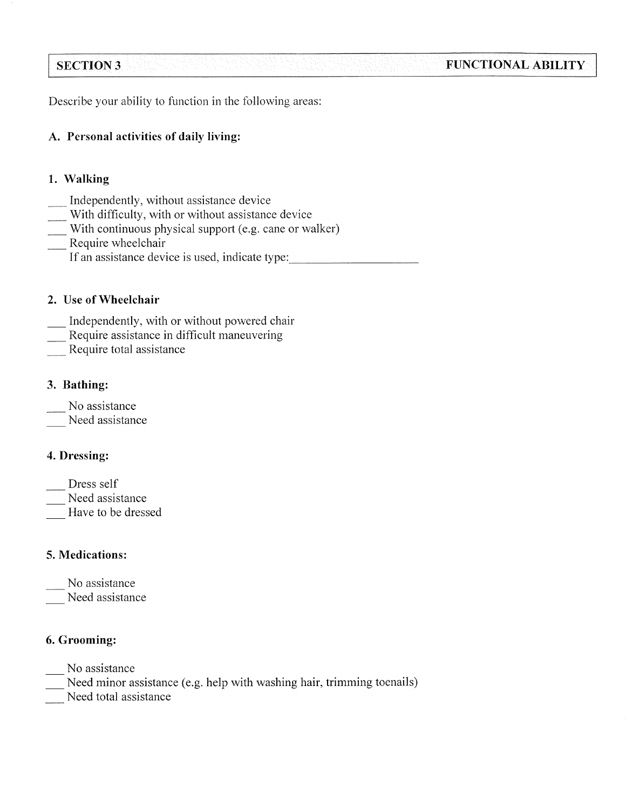#### **SECTION 3 FUNCTIONAL ABILITY**

Describe your ability to function in the following areas:

# A. Personal activities of daily living:

# 1. Walking

- Independently, without assistance device
- With difficulty, with or without assistance device
- With continuous physical support (e.g. cane or walker)
- Require wheelchair
	- If an assistance device is used, indicate type:

# 2. Use of Wheelchair

- Independently, with or without powered chair
- Require assistance in difficult maneuvering
- Require total assistance

# 3. Bathing:

- No assistance
- Need assistance

# 4. Dressing:

- Dress self
- Need assistance
- Have to be dressed

# 5. Medications:

- No assistance
- Need assistance

# 6. Grooming:

- No assistance
- Need minor assistance (e.g. help with washing hair, trimming toenails)
- Need total assistance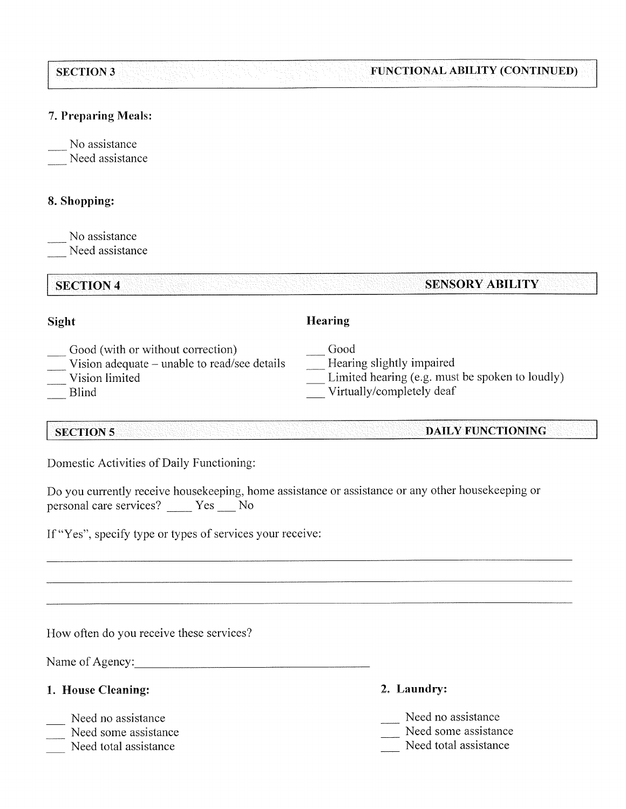#### **FUNCTIONAL ABILITY (CONTINUED) SECTION 3**

# 7. Preparing Meals:

No assistance

Need assistance

# 8. Shopping:

No assistance Need assistance

#### **SECTION 4 SENSORY ABILITY**

# Sight

- Good (with or without correction)
- Vision adequate unable to read/see details
- Vision limited
- **Blind**

**SECTION 5** 

# Hearing

Good

- Hearing slightly impaired
- Limited hearing (e.g. must be spoken to loudly)
- Virtually/completely deaf

# **DAILY FUNCTIONING**

Domestic Activities of Daily Functioning:

Do you currently receive housekeeping, home assistance or assistance or any other housekeeping or personal care services? \_\_\_\_\_ Yes \_\_\_\_ No

If "Yes", specify type or types of services your receive:

How often do you receive these services?

Name of Agency:

- 1. House Cleaning:
- Need no assistance
- Need some assistance
- Need total assistance
- 2. Laundry:
- Need no assistance
- Need some assistance
- Need total assistance